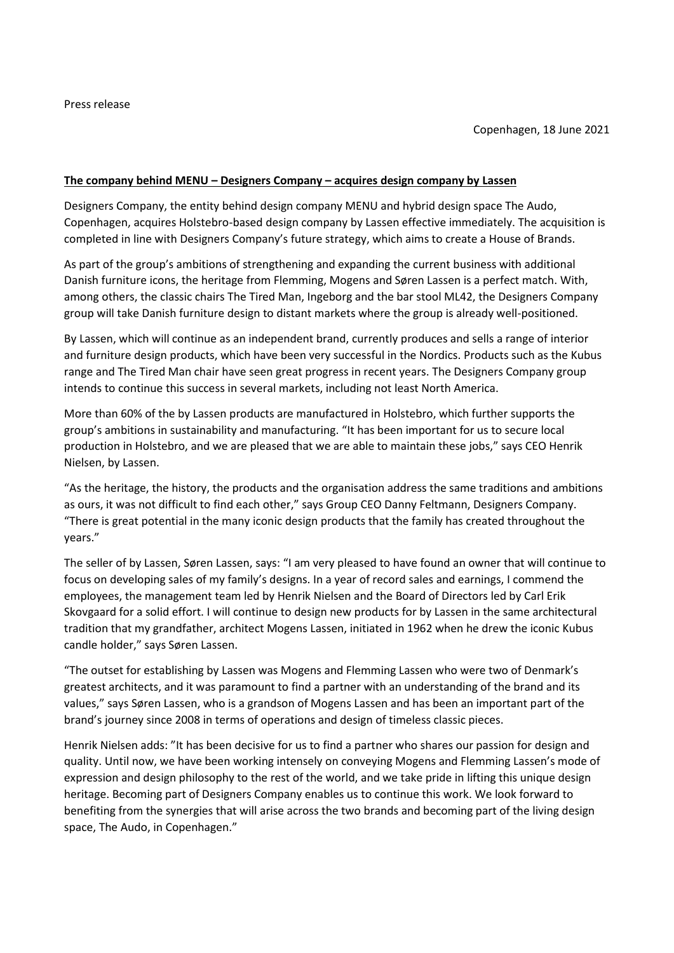### **The company behind MENU – Designers Company – acquires design company by Lassen**

Designers Company, the entity behind design company MENU and hybrid design space The Audo, Copenhagen, acquires Holstebro-based design company by Lassen effective immediately. The acquisition is completed in line with Designers Company's future strategy, which aims to create a House of Brands.

As part of the group's ambitions of strengthening and expanding the current business with additional Danish furniture icons, the heritage from Flemming, Mogens and Søren Lassen is a perfect match. With, among others, the classic chairs The Tired Man, Ingeborg and the bar stool ML42, the Designers Company group will take Danish furniture design to distant markets where the group is already well-positioned.

By Lassen, which will continue as an independent brand, currently produces and sells a range of interior and furniture design products, which have been very successful in the Nordics. Products such as the Kubus range and The Tired Man chair have seen great progress in recent years. The Designers Company group intends to continue this success in several markets, including not least North America.

More than 60% of the by Lassen products are manufactured in Holstebro, which further supports the group's ambitions in sustainability and manufacturing. "It has been important for us to secure local production in Holstebro, and we are pleased that we are able to maintain these jobs," says CEO Henrik Nielsen, by Lassen.

"As the heritage, the history, the products and the organisation address the same traditions and ambitions as ours, it was not difficult to find each other," says Group CEO Danny Feltmann, Designers Company. "There is great potential in the many iconic design products that the family has created throughout the years."

The seller of by Lassen, Søren Lassen, says: "I am very pleased to have found an owner that will continue to focus on developing sales of my family's designs. In a year of record sales and earnings, I commend the employees, the management team led by Henrik Nielsen and the Board of Directors led by Carl Erik Skovgaard for a solid effort. I will continue to design new products for by Lassen in the same architectural tradition that my grandfather, architect Mogens Lassen, initiated in 1962 when he drew the iconic Kubus candle holder," says Søren Lassen.

"The outset for establishing by Lassen was Mogens and Flemming Lassen who were two of Denmark's greatest architects, and it was paramount to find a partner with an understanding of the brand and its values," says Søren Lassen, who is a grandson of Mogens Lassen and has been an important part of the brand's journey since 2008 in terms of operations and design of timeless classic pieces.

Henrik Nielsen adds: "It has been decisive for us to find a partner who shares our passion for design and quality. Until now, we have been working intensely on conveying Mogens and Flemming Lassen's mode of expression and design philosophy to the rest of the world, and we take pride in lifting this unique design heritage. Becoming part of Designers Company enables us to continue this work. We look forward to benefiting from the synergies that will arise across the two brands and becoming part of the living design space, The Audo, in Copenhagen."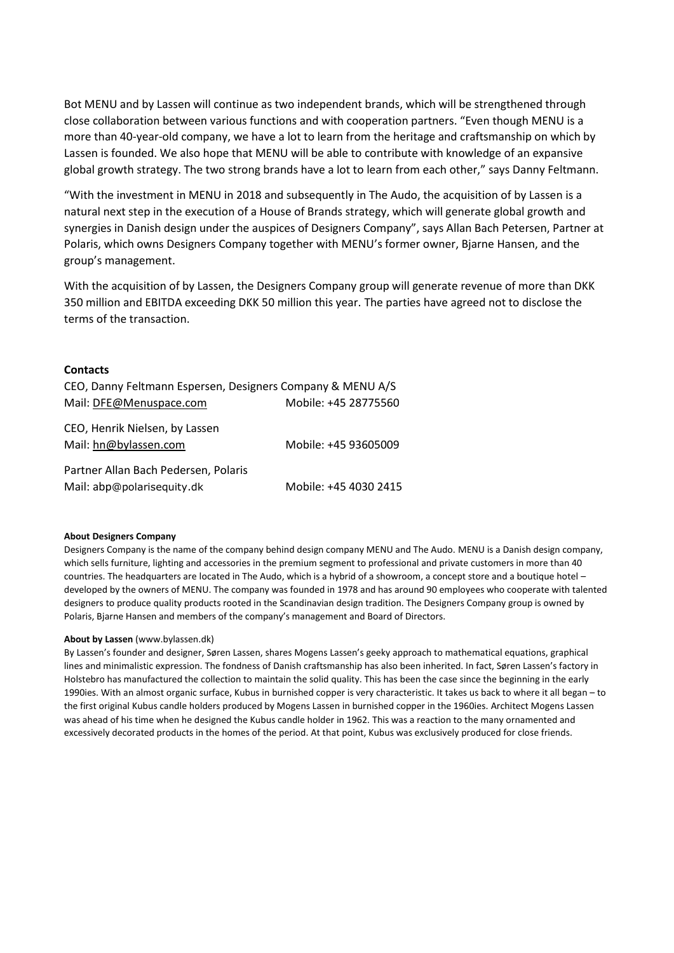Bot MENU and by Lassen will continue as two independent brands, which will be strengthened through close collaboration between various functions and with cooperation partners. "Even though MENU is a more than 40-year-old company, we have a lot to learn from the heritage and craftsmanship on which by Lassen is founded. We also hope that MENU will be able to contribute with knowledge of an expansive global growth strategy. The two strong brands have a lot to learn from each other," says Danny Feltmann.

"With the investment in MENU in 2018 and subsequently in The Audo, the acquisition of by Lassen is a natural next step in the execution of a House of Brands strategy, which will generate global growth and synergies in Danish design under the auspices of Designers Company", says Allan Bach Petersen, Partner at Polaris, which owns Designers Company together with MENU's former owner, Bjarne Hansen, and the group's management.

With the acquisition of by Lassen, the Designers Company group will generate revenue of more than DKK 350 million and EBITDA exceeding DKK 50 million this year. The parties have agreed not to disclose the terms of the transaction.

#### **Contacts**

| CEO, Danny Feltmann Espersen, Designers Company & MENU A/S |                       |
|------------------------------------------------------------|-----------------------|
| Mail: DFE@Menuspace.com                                    | Mobile: +45 28775560  |
| CEO, Henrik Nielsen, by Lassen<br>Mail: hn@bylassen.com    | Mobile: +45 93605009  |
| Partner Allan Bach Pedersen, Polaris                       |                       |
| Mail: abp@polarisequity.dk                                 | Mobile: +45 4030 2415 |

#### **About Designers Company**

Designers Company is the name of the company behind design company MENU and The Audo. MENU is a Danish design company, which sells furniture, lighting and accessories in the premium segment to professional and private customers in more than 40 countries. The headquarters are located in The Audo, which is a hybrid of a showroom, a concept store and a boutique hotel – developed by the owners of MENU. The company was founded in 1978 and has around 90 employees who cooperate with talented designers to produce quality products rooted in the Scandinavian design tradition. The Designers Company group is owned by Polaris, Bjarne Hansen and members of the company's management and Board of Directors.

#### **About by Lassen** (www.bylassen.dk)

By Lassen's founder and designer, Søren Lassen, shares Mogens Lassen's geeky approach to mathematical equations, graphical lines and minimalistic expression. The fondness of Danish craftsmanship has also been inherited. In fact, Søren Lassen's factory in Holstebro has manufactured the collection to maintain the solid quality. This has been the case since the beginning in the early 1990ies. With an almost organic surface, Kubus in burnished copper is very characteristic. It takes us back to where it all began – to the first original Kubus candle holders produced by Mogens Lassen in burnished copper in the 1960ies. Architect Mogens Lassen was ahead of his time when he designed the Kubus candle holder in 1962. This was a reaction to the many ornamented and excessively decorated products in the homes of the period. At that point, Kubus was exclusively produced for close friends.